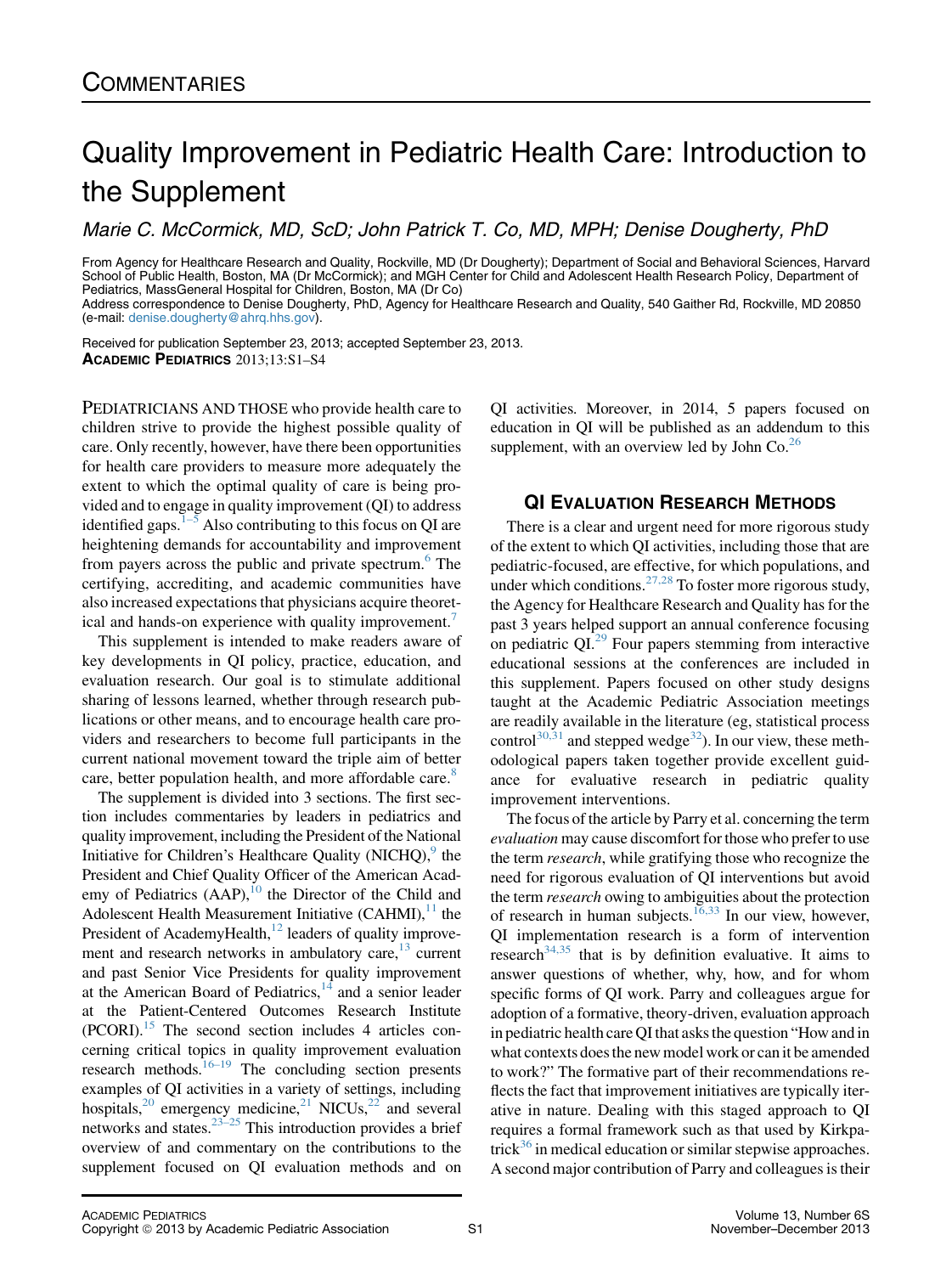# Quality Improvement in Pediatric Health Care: Introduction to the Supplement

 $M_{\rm c}$  matrices,  $M_{\rm c}$  ,  $M_{\rm c}$  and  $M_{\rm c}$  ,  $M_{\rm c}$  ,  $M_{\rm c}$  ,  $M_{\rm c}$ 

From Agency for Healthcare Research and Quality, Rockville, MD (Dr Dougherty); Department of Social and Behavioral Sciences, Harvard School of Public Health, Boston, MA (Dr McCormick); and MGH Center for Child and Adolescent Health Research Policy, Department of Pediatrics, MassGeneral Hospital for Children, Boston, MA (Dr Co)

Address correspondence to Denise Dougherty, PhD, Agency for Healthcare Research and Quality, 540 Gaither Rd, Rockville, MD 20850 (e-mail: [denise.dougherty@ahrq.hhs.gov\)](mailto:denise.dougherty@ahrq.hhs.gov).

Received for publication September 23, 2013; accepted September 23, 2013. ACADEMIC PEDIATRICS 2013;13:S1–S4

PEDIATRICIANS AND THOSE who provide health care to children strive to provide the highest possible quality of care. Only recently, however, have there been opportunities for health care providers to measure more adequately the extent to which the optimal quality of care is being provided and to engage in quality improvement (QI) to address identified gaps. $1-5$  Also contributing to this focus on QI are heightening demands for accountability and improvement from payers across the public and private spectrum.<sup>6</sup> The certifying, accrediting, and academic communities have also increased expectations that physicians acquire theoretical and hands-on experience with quality improvement.<sup>7</sup>

This supplement is intended to make readers aware of key developments in QI policy, practice, education, and evaluation research. Our goal is to stimulate additional sharing of lessons learned, whether through research publications or other means, and to encourage health care providers and researchers to become full participants in the current national movement toward the triple aim of better care, better population health, and more affordable care.<sup>[8](#page-2-0)</sup>

The supplement is divided into 3 sections. The first section includes commentaries by leaders in pediatrics and quality improvement, including the President of the National Initiative for Children's Healthcare Quality (NICHQ), $\frac{9}{3}$  $\frac{9}{3}$  $\frac{9}{3}$  the President and Chief Quality Officer of the American Academy of Pediatrics  $(AAP)$ ,<sup>10</sup> the Director of the Child and Adolescent Health Measurement Initiative  $(CAHMI)$ , <sup>11</sup> the President of AcademyHealth, $12$  leaders of quality improvement and research networks in ambulatory care, $13$  current and past Senior Vice Presidents for quality improvement at the American Board of Pediatrics,<sup>14</sup> and a senior leader at the Patient-Centered Outcomes Research Institute (PCORI)[.15](#page-2-0) The second section includes 4 articles concerning critical topics in quality improvement evaluation research methods.<sup>16–19</sup> The concluding section presents examples of QI activities in a variety of settings, including hospitals,<sup>20</sup> emergency medicine,<sup>21</sup> NICUs,<sup>22</sup> and several networks and states[.23–25](#page-2-0) This introduction provides a brief overview of and commentary on the contributions to the supplement focused on QI evaluation methods and on

QI activities. Moreover, in 2014, 5 papers focused on education in QI will be published as an addendum to this supplement, with an overview led by John  $Co^{26}$ 

## QI EVALUATION RESEARCH METHODS

There is a clear and urgent need for more rigorous study of the extent to which QI activities, including those that are pediatric-focused, are effective, for which populations, and under which conditions.  $27,28$  To foster more rigorous study, the Agency for Healthcare Research and Quality has for the past 3 years helped support an annual conference focusing on pediatric  $QI^{29}$  $QI^{29}$  $QI^{29}$  Four papers stemming from interactive educational sessions at the conferences are included in this supplement. Papers focused on other study designs taught at the Academic Pediatric Association meetings are readily available in the literature (eg, statistical process control<sup>[30,31](#page-2-0)</sup> and stepped wedge<sup>32</sup>). In our view, these methodological papers taken together provide excellent guidance for evaluative research in pediatric quality improvement interventions.

The focus of the article by Parry et al. concerning the term evaluation may cause discomfort for those who prefer to use the term *research*, while gratifying those who recognize the need for rigorous evaluation of QI interventions but avoid the term *research* owing to ambiguities about the protection of research in human subjects.<sup>[16,33](#page-2-0)</sup> In our view, however, QI implementation research is a form of intervention  $research<sup>34,35</sup>$  that is by definition evaluative. It aims to answer questions of whether, why, how, and for whom specific forms of QI work. Parry and colleagues argue for adoption of a formative, theory-driven, evaluation approach in pediatric health care QI that asks the question "How and in what contexts doesthe new model work or can it be amended to work?" The formative part of their recommendations reflects the fact that improvement initiatives are typically iterative in nature. Dealing with this staged approach to QI requires a formal framework such as that used by Kirkpatrick $36$  in medical education or similar stepwise approaches. A second major contribution of Parry and colleagues is their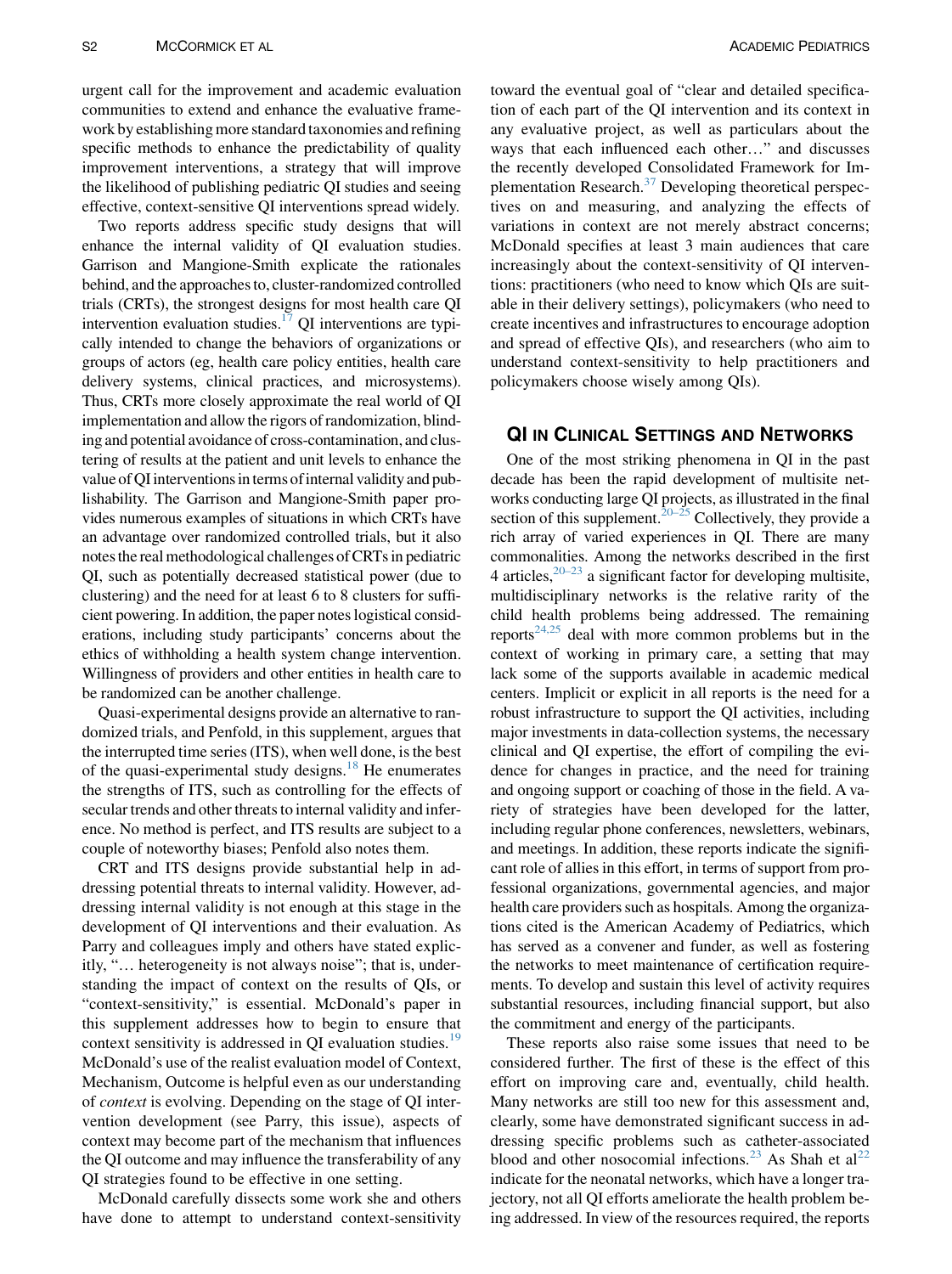urgent call for the improvement and academic evaluation communities to extend and enhance the evaluative framework by establishing more standard taxonomies and refining specific methods to enhance the predictability of quality improvement interventions, a strategy that will improve the likelihood of publishing pediatric QI studies and seeing effective, context-sensitive QI interventions spread widely.

Two reports address specific study designs that will enhance the internal validity of QI evaluation studies. Garrison and Mangione-Smith explicate the rationales behind, and the approaches to, cluster-randomized controlled trials (CRTs), the strongest designs for most health care QI intervention evaluation studies. $^{17}$  $^{17}$  $^{17}$  QI interventions are typically intended to change the behaviors of organizations or groups of actors (eg, health care policy entities, health care delivery systems, clinical practices, and microsystems). Thus, CRTs more closely approximate the real world of QI implementation and allow the rigors of randomization, blinding and potential avoidance of cross-contamination, and clustering of results at the patient and unit levels to enhance the value of QI interventions in terms of internal validity and publishability. The Garrison and Mangione-Smith paper provides numerous examples of situations in which CRTs have an advantage over randomized controlled trials, but it also notes the real methodological challenges of CRTs in pediatric QI, such as potentially decreased statistical power (due to clustering) and the need for at least 6 to 8 clusters for sufficient powering. In addition, the paper notes logistical considerations, including study participants' concerns about the ethics of withholding a health system change intervention. Willingness of providers and other entities in health care to be randomized can be another challenge.

Quasi-experimental designs provide an alternative to randomized trials, and Penfold, in this supplement, argues that the interrupted time series (ITS), when well done, is the best of the quasi-experimental study designs.<sup>18</sup> He enumerates the strengths of ITS, such as controlling for the effects of secular trends and other threats to internal validity and inference. No method is perfect, and ITS results are subject to a couple of noteworthy biases; Penfold also notes them.

CRT and ITS designs provide substantial help in addressing potential threats to internal validity. However, addressing internal validity is not enough at this stage in the development of QI interventions and their evaluation. As Parry and colleagues imply and others have stated explicitly, "... heterogeneity is not always noise"; that is, understanding the impact of context on the results of QIs, or "context-sensitivity," is essential. McDonald's paper in this supplement addresses how to begin to ensure that context sensitivity is addressed in QI evaluation studies.<sup>[19](#page-2-0)</sup> McDonald's use of the realist evaluation model of Context, Mechanism, Outcome is helpful even as our understanding of context is evolving. Depending on the stage of QI intervention development (see Parry, this issue), aspects of context may become part of the mechanism that influences the QI outcome and may influence the transferability of any QI strategies found to be effective in one setting.

McDonald carefully dissects some work she and others have done to attempt to understand context-sensitivity toward the eventual goal of "clear and detailed specification of each part of the QI intervention and its context in any evaluative project, as well as particulars about the ways that each influenced each other..." and discusses the recently developed Consolidated Framework for Implementation Research. $37$  Developing theoretical perspectives on and measuring, and analyzing the effects of variations in context are not merely abstract concerns; McDonald specifies at least 3 main audiences that care increasingly about the context-sensitivity of QI interventions: practitioners (who need to know which QIs are suitable in their delivery settings), policymakers (who need to create incentives and infrastructures to encourage adoption and spread of effective QIs), and researchers (who aim to understand context-sensitivity to help practitioners and policymakers choose wisely among QIs).

### QI IN CLINICAL SETTINGS AND NETWORKS

One of the most striking phenomena in QI in the past decade has been the rapid development of multisite networks conducting large QI projects, as illustrated in the final section of this supplement.<sup>20–25</sup> Collectively, they provide a rich array of varied experiences in QI. There are many commonalities. Among the networks described in the first 4 articles,  $20-23$  a significant factor for developing multisite, multidisciplinary networks is the relative rarity of the child health problems being addressed. The remaining reports<sup>[24,25](#page-2-0)</sup> deal with more common problems but in the context of working in primary care, a setting that may lack some of the supports available in academic medical centers. Implicit or explicit in all reports is the need for a robust infrastructure to support the QI activities, including major investments in data-collection systems, the necessary clinical and QI expertise, the effort of compiling the evidence for changes in practice, and the need for training and ongoing support or coaching of those in the field. A variety of strategies have been developed for the latter, including regular phone conferences, newsletters, webinars, and meetings. In addition, these reports indicate the significant role of allies in this effort, in terms of support from professional organizations, governmental agencies, and major health care providers such as hospitals. Among the organizations cited is the American Academy of Pediatrics, which has served as a convener and funder, as well as fostering the networks to meet maintenance of certification requirements. To develop and sustain this level of activity requires substantial resources, including financial support, but also the commitment and energy of the participants.

These reports also raise some issues that need to be considered further. The first of these is the effect of this effort on improving care and, eventually, child health. Many networks are still too new for this assessment and, clearly, some have demonstrated significant success in addressing specific problems such as catheter-associated blood and other nosocomial infections.<sup>[23](#page-2-0)</sup> As Shah et al<sup>[22](#page-2-0)</sup> indicate for the neonatal networks, which have a longer trajectory, not all QI efforts ameliorate the health problem being addressed. In view of the resources required, the reports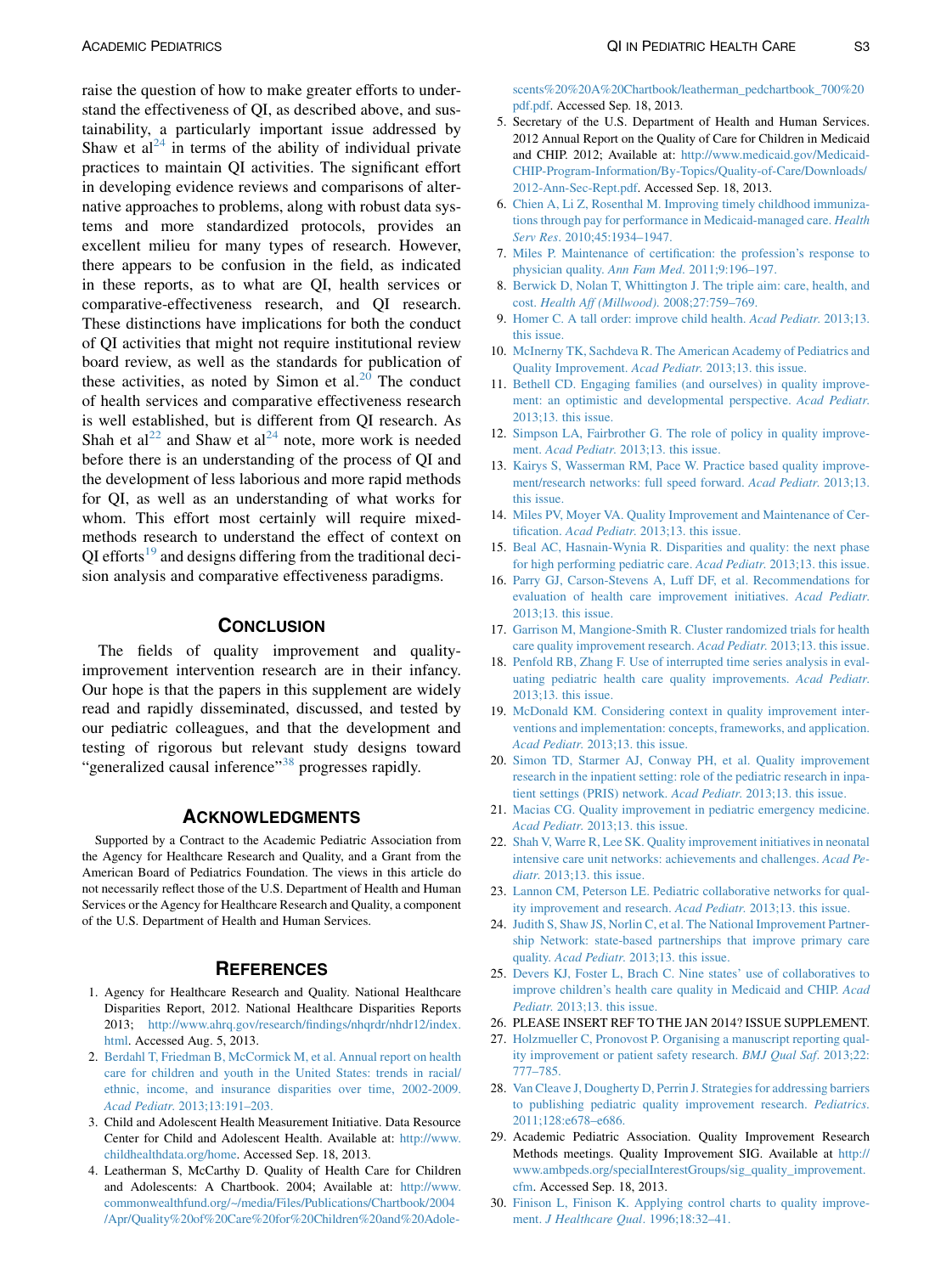<span id="page-2-0"></span>raise the question of how to make greater efforts to understand the effectiveness of QI, as described above, and sustainability, a particularly important issue addressed by Shaw et  $al<sup>24</sup>$  in terms of the ability of individual private practices to maintain QI activities. The significant effort in developing evidence reviews and comparisons of alternative approaches to problems, along with robust data systems and more standardized protocols, provides an excellent milieu for many types of research. However, there appears to be confusion in the field, as indicated in these reports, as to what are QI, health services or comparative-effectiveness research, and QI research. These distinctions have implications for both the conduct of QI activities that might not require institutional review board review, as well as the standards for publication of these activities, as noted by Simon et al. $20$  The conduct of health services and comparative effectiveness research is well established, but is different from QI research. As Shah et al<sup>22</sup> and Shaw et al<sup>24</sup> note, more work is needed before there is an understanding of the process of QI and the development of less laborious and more rapid methods for QI, as well as an understanding of what works for whom. This effort most certainly will require mixedmethods research to understand the effect of context on  $QI$  efforts<sup>19</sup> and designs differing from the traditional decision analysis and comparative effectiveness paradigms.

#### **CONCLUSION**

The fields of quality improvement and qualityimprovement intervention research are in their infancy. Our hope is that the papers in this supplement are widely read and rapidly disseminated, discussed, and tested by our pediatric colleagues, and that the development and testing of rigorous but relevant study designs toward "generalized causal inference"<sup>[38](#page-3-0)</sup> progresses rapidly.

#### ACKNOWLEDGMENTS

Supported by a Contract to the Academic Pediatric Association from the Agency for Healthcare Research and Quality, and a Grant from the American Board of Pediatrics Foundation. The views in this article do not necessarily reflect those of the U.S. Department of Health and Human Services or the Agency for Healthcare Research and Quality, a component of the U.S. Department of Health and Human Services.

#### **REFERENCES**

- 1. Agency for Healthcare Research and Quality. National Healthcare Disparities Report, 2012. National Healthcare Disparities Reports 2013; [http://www.ahrq.gov/research/findings/nhqrdr/nhdr12/index.](http://www.ahrq.gov/research/findings/nhqrdr/nhdr12/index.html) [html.](http://www.ahrq.gov/research/findings/nhqrdr/nhdr12/index.html) Accessed Aug. 5, 2013.
- 2. [Berdahl T, Friedman B, McCormick M, et al. Annual report on health](http://refhub.elsevier.com/S1876-2859(13)00248-9/sref1) [care for children and youth in the United States: trends in racial/](http://refhub.elsevier.com/S1876-2859(13)00248-9/sref1) [ethnic, income, and insurance disparities over time, 2002-2009.](http://refhub.elsevier.com/S1876-2859(13)00248-9/sref1) Acad Pediatr[. 2013;13:191–203.](http://refhub.elsevier.com/S1876-2859(13)00248-9/sref1)
- 3. Child and Adolescent Health Measurement Initiative. Data Resource Center for Child and Adolescent Health. Available at: [http://www.](http://www.childhealthdata.org/home) [childhealthdata.org/home](http://www.childhealthdata.org/home). Accessed Sep. 18, 2013.
- 4. Leatherman S, McCarthy D. Quality of Health Care for Children and Adolescents: A Chartbook. 2004; Available at: [http://www.](http://www.commonwealthfund.org/%7E/media/Files/Publications/Chartbook/2004/Apr/Quality%20of%20Care%20for%20Children%20and%20Adolescents%20%20A%20Chartbook/leatherman_pedchartbook_700%20pdf.pdf) [commonwealthfund.org/~/media/Files/Publications/Chartbook/2004](http://www.commonwealthfund.org/%7E/media/Files/Publications/Chartbook/2004/Apr/Quality%20of%20Care%20for%20Children%20and%20Adolescents%20%20A%20Chartbook/leatherman_pedchartbook_700%20pdf.pdf) [/Apr/Quality%20of%20Care%20for%20Children%20and%20Adole-](http://www.commonwealthfund.org/%7E/media/Files/Publications/Chartbook/2004/Apr/Quality%20of%20Care%20for%20Children%20and%20Adolescents%20%20A%20Chartbook/leatherman_pedchartbook_700%20pdf.pdf)

[scents%20%20A%20Chartbook/leatherman\\_pedchartbook\\_700%20](http://www.commonwealthfund.org/%7E/media/Files/Publications/Chartbook/2004/Apr/Quality%20of%20Care%20for%20Children%20and%20Adolescents%20%20A%20Chartbook/leatherman_pedchartbook_700%20pdf.pdf) [pdf.pdf](http://www.commonwealthfund.org/%7E/media/Files/Publications/Chartbook/2004/Apr/Quality%20of%20Care%20for%20Children%20and%20Adolescents%20%20A%20Chartbook/leatherman_pedchartbook_700%20pdf.pdf). Accessed Sep. 18, 2013.

- 5. Secretary of the U.S. Department of Health and Human Services. 2012 Annual Report on the Quality of Care for Children in Medicaid and CHIP. 2012; Available at: [http://www.medicaid.gov/Medicaid-](http://www.medicaid.gov/Medicaid-CHIP-Program-Information/By-Topics/Quality-of-Care/Downloads/2012-Ann-Sec-Rept.pdf)[CHIP-Program-Information/By-Topics/Quality-of-Care/Downloads/](http://www.medicaid.gov/Medicaid-CHIP-Program-Information/By-Topics/Quality-of-Care/Downloads/2012-Ann-Sec-Rept.pdf) [2012-Ann-Sec-Rept.pdf.](http://www.medicaid.gov/Medicaid-CHIP-Program-Information/By-Topics/Quality-of-Care/Downloads/2012-Ann-Sec-Rept.pdf) Accessed Sep. 18, 2013.
- 6. [Chien A, Li Z, Rosenthal M. Improving timely childhood immuniza](http://refhub.elsevier.com/S1876-2859(13)00248-9/sref2)[tions through pay for performance in Medicaid-managed care.](http://refhub.elsevier.com/S1876-2859(13)00248-9/sref2) Health Serv Res[. 2010;45:1934–1947.](http://refhub.elsevier.com/S1876-2859(13)00248-9/sref2)
- 7. [Miles P. Maintenance of certification: the profession's response to](http://refhub.elsevier.com/S1876-2859(13)00248-9/sref3) physician quality. Ann Fam Med[. 2011;9:196–197.](http://refhub.elsevier.com/S1876-2859(13)00248-9/sref3)
- 8. [Berwick D, Nolan T, Whittington J. The triple aim: care, health, and](http://refhub.elsevier.com/S1876-2859(13)00248-9/sref4) cost. [Health Aff \(Millwood\)](http://refhub.elsevier.com/S1876-2859(13)00248-9/sref4). 2008;27:759–769.
- 9. [Homer C. A tall order: improve child health.](http://refhub.elsevier.com/S1876-2859(13)00248-9/sref5) Acad Pediatr. 2013;13. [this issue.](http://refhub.elsevier.com/S1876-2859(13)00248-9/sref5)
- 10. [McInerny TK, Sachdeva R. The American Academy of Pediatrics and](http://refhub.elsevier.com/S1876-2859(13)00248-9/sref6) [Quality Improvement.](http://refhub.elsevier.com/S1876-2859(13)00248-9/sref6) Acad Pediatr. 2013;13. this issue.
- 11. [Bethell CD. Engaging families \(and ourselves\) in quality improve](http://refhub.elsevier.com/S1876-2859(13)00248-9/sref7)[ment: an optimistic and developmental perspective.](http://refhub.elsevier.com/S1876-2859(13)00248-9/sref7) Acad Pediatr. [2013;13. this issue.](http://refhub.elsevier.com/S1876-2859(13)00248-9/sref7)
- 12. [Simpson LA, Fairbrother G. The role of policy in quality improve](http://refhub.elsevier.com/S1876-2859(13)00248-9/sref8)ment. Acad Pediatr[. 2013;13. this issue.](http://refhub.elsevier.com/S1876-2859(13)00248-9/sref8)
- 13. [Kairys S, Wasserman RM, Pace W. Practice based quality improve](http://refhub.elsevier.com/S1876-2859(13)00248-9/sref9)[ment/research networks: full speed forward.](http://refhub.elsevier.com/S1876-2859(13)00248-9/sref9) Acad Pediatr. 2013;13. [this issue.](http://refhub.elsevier.com/S1876-2859(13)00248-9/sref9)
- 14. [Miles PV, Moyer VA. Quality Improvement and Maintenance of Cer](http://refhub.elsevier.com/S1876-2859(13)00248-9/sref10)tification. Acad Pediatr[. 2013;13. this issue.](http://refhub.elsevier.com/S1876-2859(13)00248-9/sref10)
- 15. [Beal AC, Hasnain-Wynia R. Disparities and quality: the next phase](http://refhub.elsevier.com/S1876-2859(13)00248-9/sref11) [for high performing pediatric care.](http://refhub.elsevier.com/S1876-2859(13)00248-9/sref11) Acad Pediatr. 2013;13. this issue.
- 16. [Parry GJ, Carson-Stevens A, Luff DF, et al. Recommendations for](http://refhub.elsevier.com/S1876-2859(13)00248-9/sref12) [evaluation of health care improvement initiatives.](http://refhub.elsevier.com/S1876-2859(13)00248-9/sref12) Acad Pediatr. [2013;13. this issue.](http://refhub.elsevier.com/S1876-2859(13)00248-9/sref12)
- 17. [Garrison M, Mangione-Smith R. Cluster randomized trials for health](http://refhub.elsevier.com/S1876-2859(13)00248-9/sref13) [care quality improvement research.](http://refhub.elsevier.com/S1876-2859(13)00248-9/sref13) Acad Pediatr. 2013;13. this issue.
- 18. [Penfold RB, Zhang F. Use of interrupted time series analysis in eval](http://refhub.elsevier.com/S1876-2859(13)00248-9/sref14)[uating pediatric health care quality improvements.](http://refhub.elsevier.com/S1876-2859(13)00248-9/sref14) Acad Pediatr. [2013;13. this issue.](http://refhub.elsevier.com/S1876-2859(13)00248-9/sref14)
- 19. [McDonald KM. Considering context in quality improvement inter](http://refhub.elsevier.com/S1876-2859(13)00248-9/sref15)ventions [and implementation: concepts, frameworks, and application.](http://refhub.elsevier.com/S1876-2859(13)00248-9/sref15) Acad Pediatr[. 2013;13. this issue.](http://refhub.elsevier.com/S1876-2859(13)00248-9/sref15)
- 20. [Simon TD, Starmer AJ, Conway PH, et al. Quality improvement](http://refhub.elsevier.com/S1876-2859(13)00248-9/sref16) [research in the inpatient setting: role of the pediatric research in inpa](http://refhub.elsevier.com/S1876-2859(13)00248-9/sref16)[tient settings \(PRIS\) network.](http://refhub.elsevier.com/S1876-2859(13)00248-9/sref16) Acad Pediatr. 2013;13. this issue.
- 21. [Macias CG. Quality improvement in pediatric emergency medicine.](http://refhub.elsevier.com/S1876-2859(13)00248-9/sref17) Acad Pediatr[. 2013;13. this issue.](http://refhub.elsevier.com/S1876-2859(13)00248-9/sref17)
- 22. [Shah V, Warre R, Lee SK. Quality improvement initiatives in neonatal](http://refhub.elsevier.com/S1876-2859(13)00248-9/sref18) [intensive care unit networks: achievements and challenges.](http://refhub.elsevier.com/S1876-2859(13)00248-9/sref18) Acad Pediatr[. 2013;13. this issue.](http://refhub.elsevier.com/S1876-2859(13)00248-9/sref18)
- 23. [Lannon CM, Peterson LE. Pediatric collaborative networks for qual](http://refhub.elsevier.com/S1876-2859(13)00248-9/sref19)[ity improvement and research.](http://refhub.elsevier.com/S1876-2859(13)00248-9/sref19) Acad Pediatr. 2013;13. this issue.
- 24. [Judith S, Shaw JS, Norlin C, et al. The National Improvement Partner](http://refhub.elsevier.com/S1876-2859(13)00248-9/sref20)[ship Network: state-based partnerships that improve primary care](http://refhub.elsevier.com/S1876-2859(13)00248-9/sref20) quality. Acad Pediatr[. 2013;13. this issue.](http://refhub.elsevier.com/S1876-2859(13)00248-9/sref20)
- 25. [Devers KJ, Foster L, Brach C. Nine states' use of collaboratives to](http://refhub.elsevier.com/S1876-2859(13)00248-9/sref21) [improve children's health care quality in Medicaid and CHIP.](http://refhub.elsevier.com/S1876-2859(13)00248-9/sref21) Acad Pediatr[. 2013;13. this issue.](http://refhub.elsevier.com/S1876-2859(13)00248-9/sref21)
- 26. PLEASE INSERT REF TO THE JAN 2014? ISSUE SUPPLEMENT.
- 27. [Holzmueller C, Pronovost P. Organising a manuscript reporting qual](http://refhub.elsevier.com/S1876-2859(13)00248-9/sref22)[ity improvement or patient safety research.](http://refhub.elsevier.com/S1876-2859(13)00248-9/sref22) BMJ Qual Saf. 2013;22: [777–785.](http://refhub.elsevier.com/S1876-2859(13)00248-9/sref22)
- 28. [Van Cleave J, Dougherty D, Perrin J. Strategies for addressing barriers](http://refhub.elsevier.com/S1876-2859(13)00248-9/sref23) [to publishing pediatric quality improvement research.](http://refhub.elsevier.com/S1876-2859(13)00248-9/sref23) Pediatrics. [2011;128:e678–e686.](http://refhub.elsevier.com/S1876-2859(13)00248-9/sref23)
- 29. Academic Pediatric Association. Quality Improvement Research Methods meetings. Quality Improvement SIG. Available at [http://](http://www.ambpeds.org/specialInterestGroups/sig_quality_improvement.cfm) [www.ambpeds.org/specialInterestGroups/sig\\_quality\\_improvement.](http://www.ambpeds.org/specialInterestGroups/sig_quality_improvement.cfm) [cfm.](http://www.ambpeds.org/specialInterestGroups/sig_quality_improvement.cfm) Accessed Sep. 18, 2013.
- 30. [Finison L, Finison K. Applying control charts to quality improve](http://refhub.elsevier.com/S1876-2859(13)00248-9/sref24)ment. [J Healthcare Qual](http://refhub.elsevier.com/S1876-2859(13)00248-9/sref24). 1996;18:32–41.